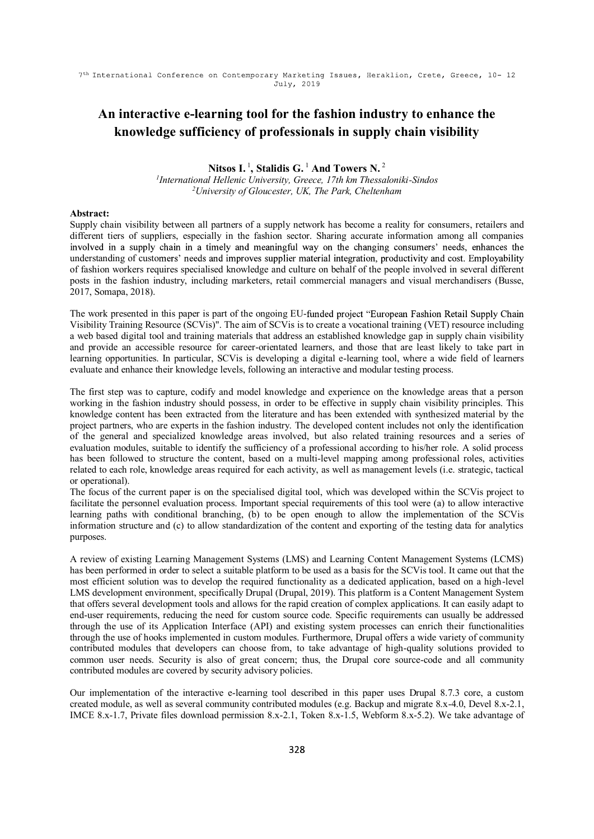# An interactive e-learning tool for the fashion industry to enhance the knowledge sufficiency of professionals in supply chain visibility

# Nitsos I.<sup>1</sup>, Stalidis G.<sup>1</sup> And Towers N.<sup>2</sup>

<sup>1</sup>International Hellenic University, Greece, 17th km Thessaloniki-Sindos<sup>2</sup>University of Gloucester, UK, The Park, Cheltenham

# Abstract:

Supply chain visibility between all partners of a supply network has become a reality for consumers, retailers and different tiers of suppliers, especially in the fashion sector. Sharing accurate information among all companies involved in a supply chain in a timely and meaningful way on the changing consumers' needs, enhances the understanding of customers' needs and improves supplier material integration, productivity and cost. Employability of fashion workers requires specialised knowledge and culture on behalf of the people involved in several different posts in the fashion industry, including marketers, retail commercial managers and visual merchandisers (Busse, 2017, Somapa, 2018).

The work presented in this paper is part of the ongoing EU-funded project "European Fashion Retail Supply Chain Visibility Training Resource (SCVis)". The aim of SCVis is to create a vocational training (VET) resource including a web based digital tool and training materials that address an established knowledge gap in supply chain visibility and provide an accessible resource for career-orientated learners, and those that are least likely to take part in learning opportunities. In particular, SCVis is developing a digital e-learning tool, where a wide field of learners evaluate and enhance their knowledge levels, following an interactive and modular testing process.

The first step was to capture, codify and model knowledge and experience on the knowledge areas that a person working in the fashion industry should possess, in order to be effective in supply chain visibility principles. This knowledge content has been extracted from the literature and has been extended with synthesized material by the project partners, who are experts in the fashion industry. The developed content includes not only the identification of the general and specialized knowledge areas involved, but also related training resources and a series of evaluation modules, suitable to identify the sufficiency of a professional according to his/her role. A solid process has been followed to structure the content, based on a multi-level mapping among professional roles, activities related to each role, knowledge areas required for each activity, as well as management levels (i.e. strategic, tactical or operational).

The focus of the current paper is on the specialised digital tool, which was developed within the SCVis project to facilitate the personnel evaluation process. Important special requirements of this tool were (a) to allow interactive learning paths with conditional branching, (b) to be open enough to allow the implementation of the SCVis information structure and (c) to allow standardization of the content and exporting of the testing data for analytics purposes.

A review of existing Learning Management Systems (LMS) and Learning Content Management Systems (LCMS) has been performed in order to select a suitable platform to be used as a basis for the SCVis tool. It came out that the most efficient solution was to develop the required functionality as a dedicated application, based on a high-level LMS development environment, specifically Drupal (Drupal, 2019). This platform is a Content Management System that offers several development tools and allows for the rapid creation of complex applications. It can easily adapt to end-user requirements, reducing the need for custom source code. Specific requirements can usually be addressed through the use of its Application Interface (API) and existing system processes can enrich their functionalities through the use of hooks implemented in custom modules. Furthermore, Drupal offers a wide variety of community contributed modules that developers can choose from, to take advantage of high-quality solutions provided to common user needs. Security is also of great concern; thus, the Drupal core source-code and all community contributed modules are covered by security advisory policies.

Our implementation of the interactive e-learning tool described in this paper uses Drupal 8.7.3 core, a custom created module, as well as several community contributed modules (e.g. Backup and migrate 8.x-4.0, Devel 8.x-2.1, IMCE 8.x-1.7, Private files download permission 8.x-2.1, Token 8.x-1.5, Webform 8.x-5.2). We take advantage of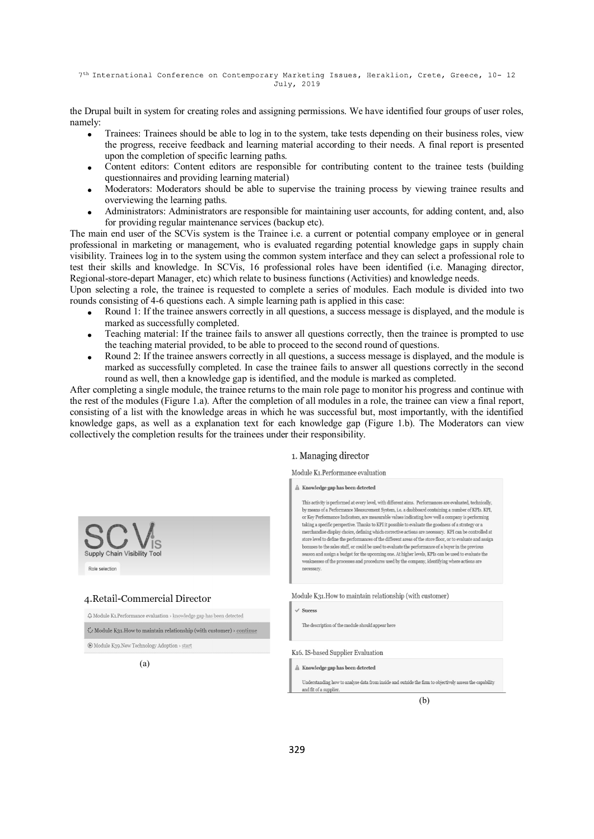7<sup>th</sup> International Conference on Contemporary Marketing Issues, Heraklion, Crete, Greece, 10- 12 July, 2019

the Drupal built in system for creating roles and assigning permissions. We have identified four groups of user roles, namely:

- Trainees: Trainees should be able to log in to the system, take tests depending on their business roles, view the progress, receive feedback and learning material according to their needs. A final report is presented upon the completion of specific learning paths.
- Content editors: Content editors are responsible for contributing content to the trainee tests (building questionnaires and providing learning material)
- Moderators: Moderators should be able to supervise the training process by viewing trainee results and overviewing the learning paths.
- Administrators: Administrators are responsible for maintaining user accounts, for adding content, and, also for providing regular maintenance services (backup etc).

The main end user of the SCVis system is the Trainee i.e. a current or potential company employee or in general professional in marketing or management, who is evaluated regarding potential knowledge gaps in supply chain visibility. Trainees log in to the system using the common system interface and they can select a professional role to test their skills and knowledge. In SCVis, 16 professional roles have been identified (i.e. Managing director, Regional-store-depart Manager, etc) which relate to business functions (Activities) and knowledge needs.

Upon selecting a role, the trainee is requested to complete a series of modules. Each module is divided into two rounds consisting of 4-6 questions each. A simple learning path is applied in this case:

- Round 1: If the trainee answers correctly in all questions, a success message is displayed, and the module is marked as successfully completed.
- Teaching material: If the trainee fails to answer all questions correctly, then the trainee is prompted to use the teaching material provided, to be able to proceed to the second round of questions.
- Round 2: If the trainee answers correctly in all questions, a success message is displayed, and the module is marked as successfully completed. In case the trainee fails to answer all questions correctly in the second round as well, then a knowledge gap is identified, and the module is marked as completed.

After completing a single module, the trainee returns to the main role page to monitor his progress and continue with the rest of the modules (Figure 1.a). After the completion of all modules in a role, the trainee can view a final report, consisting of a list with the knowledge areas in which he was successful but, most importantly, with the identified knowledge gaps, as well as a explanation text for each knowledge gap (Figure 1.b). The Moderators can view collectively the completion results for the trainees under their responsibility.

# 1. Managing director

Module K1.Performance evaluation

### A Knowledge gap has been detected

This activity is performed at every level, with different aims. Performances are evaluated, technically by means of a Performance Measurement System, i.e. a dashboard containing a number of KPIs, KPI. or Key Performance Indicators, are measurable values indicating how well a company is performing taking a specific perspective. Thanks to KPI it possible to evaluate the goodness of a strategy or  ${\bf a}$ merchandise display choice, defining which corrective actions are necessary. KPI can be controlled at store level to define the performances of the different areas of the store floor, or to evaluate and assign bonuses to the sales staff, or could be used to evaluate the performance of a buyer in the previou son and assign a budget for the upcoming one. At higher levels, KPIs can be used to evaluate the weaknesses of the processes and procedures used by the company, identifying where actions are

Module K31. How to maintain relationship (with customer)

 $\sqrt{\text{S}}$ neess

K16. IS-based Supplier Evaluation

The description of the module should appear here

 $\mathbb A$ Knowledge gap has been detected

Understanding how to analyse data from inside and outside the firm to obje

(b)



(a)

 $\hat{\Delta}$  Module K1.<br>Performance evaluation  $\rightarrow$  knowledge gap has been detected

 $\ddot{\cdot}$ . Module K21 How to maintain relationship (with customer)  $\cdot$  continue

4. Retail-Commercial Director

 $\textcircled{\ensuremath{\mathbb{R}}}$  Module K39.<br>New Technology Adoption  $\rightarrow$  start